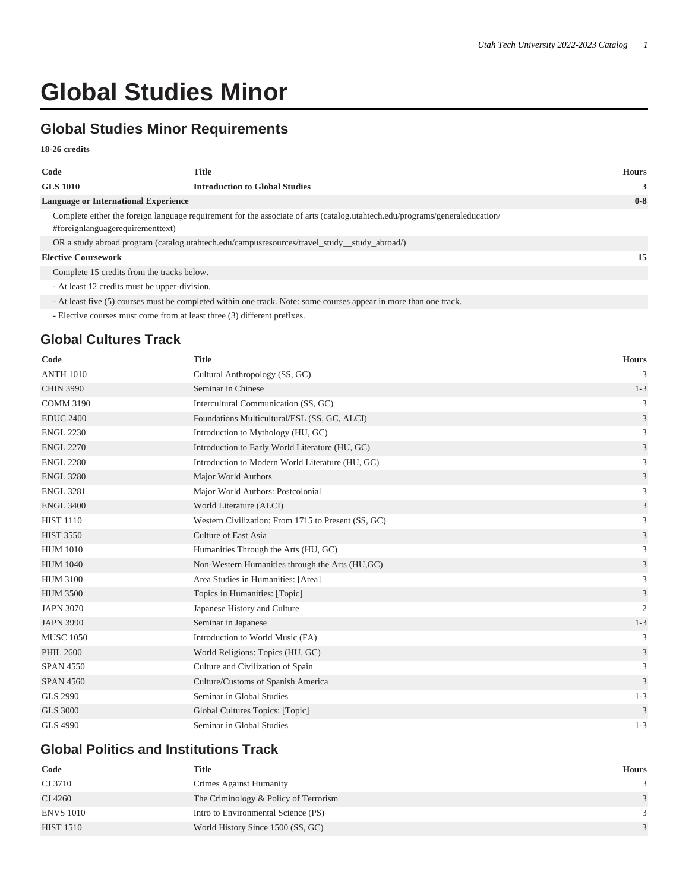# **Global Studies Minor**

# **Global Studies Minor Requirements**

#### **18-26 credits**

| Code                                          | Title                                                                                                                       | <b>Hours</b> |
|-----------------------------------------------|-----------------------------------------------------------------------------------------------------------------------------|--------------|
| <b>GLS 1010</b>                               | <b>Introduction to Global Studies</b>                                                                                       | 3            |
| <b>Language or International Experience</b>   |                                                                                                                             | $0-8$        |
| #foreignlanguagerequirementtext)              | Complete either the foreign language requirement for the associate of arts (catalog.utahtech.edu/programs/generaleducation/ |              |
|                                               | OR a study abroad program (catalog.utahtech.edu/campusresources/travel_study_study_abroad/)                                 |              |
| <b>Elective Coursework</b>                    |                                                                                                                             | 15           |
| Complete 15 credits from the tracks below.    |                                                                                                                             |              |
| - At least 12 credits must be upper-division. |                                                                                                                             |              |
|                                               | - At least five (5) courses must be completed within one track. Note: some courses appear in more than one track.           |              |

- Elective courses must come from at least three (3) different prefixes.

### **Global Cultures Track**

| Code             | <b>Title</b>                                        | <b>Hours</b>   |
|------------------|-----------------------------------------------------|----------------|
| <b>ANTH 1010</b> | Cultural Anthropology (SS, GC)                      | 3              |
| <b>CHIN 3990</b> | Seminar in Chinese                                  | $1 - 3$        |
| <b>COMM 3190</b> | Intercultural Communication (SS, GC)                | 3              |
| <b>EDUC 2400</b> | Foundations Multicultural/ESL (SS, GC, ALCI)        | 3              |
| <b>ENGL 2230</b> | Introduction to Mythology (HU, GC)                  | 3              |
| <b>ENGL 2270</b> | Introduction to Early World Literature (HU, GC)     | $\mathfrak{Z}$ |
| <b>ENGL 2280</b> | Introduction to Modern World Literature (HU, GC)    | 3              |
| <b>ENGL 3280</b> | Major World Authors                                 | $\mathfrak{Z}$ |
| <b>ENGL 3281</b> | Major World Authors: Postcolonial                   | 3              |
| <b>ENGL 3400</b> | World Literature (ALCI)                             | $\mathfrak{Z}$ |
| <b>HIST 1110</b> | Western Civilization: From 1715 to Present (SS, GC) | 3              |
| <b>HIST 3550</b> | Culture of East Asia                                | 3              |
| <b>HUM 1010</b>  | Humanities Through the Arts (HU, GC)                | 3              |
| <b>HUM 1040</b>  | Non-Western Humanities through the Arts (HU, GC)    | $\mathfrak{Z}$ |
| <b>HUM 3100</b>  | Area Studies in Humanities: [Area]                  | 3              |
| <b>HUM 3500</b>  | Topics in Humanities: [Topic]                       | $\sqrt{3}$     |
| <b>JAPN 3070</b> | Japanese History and Culture                        | $\mathfrak{2}$ |
| <b>JAPN 3990</b> | Seminar in Japanese                                 | $1 - 3$        |
| <b>MUSC 1050</b> | Introduction to World Music (FA)                    | 3              |
| <b>PHIL 2600</b> | World Religions: Topics (HU, GC)                    | 3              |
| <b>SPAN 4550</b> | Culture and Civilization of Spain                   | 3              |
| <b>SPAN 4560</b> | Culture/Customs of Spanish America                  | 3              |
| <b>GLS 2990</b>  | Seminar in Global Studies                           | $1 - 3$        |
| <b>GLS 3000</b>  | Global Cultures Topics: [Topic]                     | 3              |
| <b>GLS 4990</b>  | Seminar in Global Studies                           | $1 - 3$        |

### **Global Politics and Institutions Track**

| Code             | <b>Title</b>                          | <b>Hours</b> |
|------------------|---------------------------------------|--------------|
| CJ 3710          | Crimes Against Humanity               |              |
| CJ 4260          | The Criminology & Policy of Terrorism | 3            |
| <b>ENVS 1010</b> | Intro to Environmental Science (PS)   |              |
| <b>HIST 1510</b> | World History Since 1500 (SS, GC)     |              |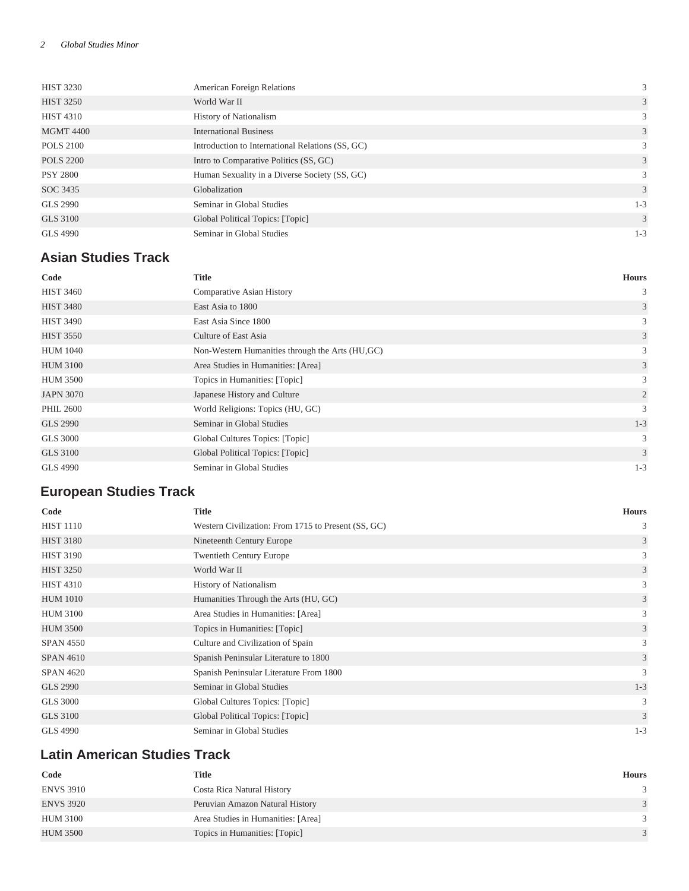| <b>HIST 3230</b> | American Foreign Relations                       | 3       |
|------------------|--------------------------------------------------|---------|
| <b>HIST 3250</b> | World War II                                     | 3       |
| <b>HIST 4310</b> | <b>History of Nationalism</b>                    | 3       |
| <b>MGMT 4400</b> | <b>International Business</b>                    | 3       |
| <b>POLS 2100</b> | Introduction to International Relations (SS, GC) | 3       |
| <b>POLS 2200</b> | Intro to Comparative Politics (SS, GC)           | 3       |
| <b>PSY 2800</b>  | Human Sexuality in a Diverse Society (SS, GC)    | 3       |
| SOC 3435         | Globalization                                    | 3       |
| <b>GLS 2990</b>  | Seminar in Global Studies                        | $1 - 3$ |
| <b>GLS 3100</b>  | Global Political Topics: [Topic]                 | 3       |
| <b>GLS 4990</b>  | Seminar in Global Studies                        | $1 - 3$ |

# **Asian Studies Track**

| Code             | <b>Title</b>                                     | <b>Hours</b> |
|------------------|--------------------------------------------------|--------------|
| <b>HIST 3460</b> | Comparative Asian History                        | 3            |
| <b>HIST 3480</b> | East Asia to 1800                                | 3            |
| <b>HIST 3490</b> | East Asia Since 1800                             | 3            |
| <b>HIST 3550</b> | Culture of East Asia                             | 3            |
| <b>HUM 1040</b>  | Non-Western Humanities through the Arts (HU, GC) | 3            |
| <b>HUM 3100</b>  | Area Studies in Humanities: [Area]               | 3            |
| <b>HUM 3500</b>  | Topics in Humanities: [Topic]                    | 3            |
| <b>JAPN 3070</b> | Japanese History and Culture                     | 2            |
| <b>PHIL 2600</b> | World Religions: Topics (HU, GC)                 | 3            |
| <b>GLS 2990</b>  | Seminar in Global Studies                        | $1 - 3$      |
| <b>GLS 3000</b>  | Global Cultures Topics: [Topic]                  | 3            |
| <b>GLS 3100</b>  | Global Political Topics: [Topic]                 | 3            |
| <b>GLS 4990</b>  | Seminar in Global Studies                        | $1 - 3$      |

# **European Studies Track**

| Code             | <b>Title</b>                                        | <b>Hours</b> |
|------------------|-----------------------------------------------------|--------------|
| <b>HIST 1110</b> | Western Civilization: From 1715 to Present (SS, GC) | 3            |
| <b>HIST 3180</b> | Nineteenth Century Europe                           | 3            |
| <b>HIST 3190</b> | <b>Twentieth Century Europe</b>                     | 3            |
| <b>HIST 3250</b> | World War II                                        | 3            |
| <b>HIST 4310</b> | <b>History of Nationalism</b>                       | 3            |
| <b>HUM 1010</b>  | Humanities Through the Arts (HU, GC)                | 3            |
| <b>HUM 3100</b>  | Area Studies in Humanities: [Area]                  | 3            |
| <b>HUM 3500</b>  | Topics in Humanities: [Topic]                       | 3            |
| <b>SPAN 4550</b> | Culture and Civilization of Spain                   | 3            |
| <b>SPAN 4610</b> | Spanish Peninsular Literature to 1800               | 3            |
| <b>SPAN 4620</b> | Spanish Peninsular Literature From 1800             | 3            |
| GLS 2990         | Seminar in Global Studies                           | $1 - 3$      |
| <b>GLS 3000</b>  | Global Cultures Topics: [Topic]                     | 3            |
| <b>GLS 3100</b>  | Global Political Topics: [Topic]                    | 3            |
| GLS 4990         | Seminar in Global Studies                           | $1 - 3$      |

# **Latin American Studies Track**

| Code             | <b>Title</b>                       | <b>Hours</b>  |
|------------------|------------------------------------|---------------|
| <b>ENVS 3910</b> | Costa Rica Natural History         |               |
| <b>ENVS 3920</b> | Peruvian Amazon Natural History    | $\mathcal{R}$ |
| HUM 3100         | Area Studies in Humanities: [Area] | $\mathcal{R}$ |
| <b>HUM 3500</b>  | Topics in Humanities: [Topic]      |               |